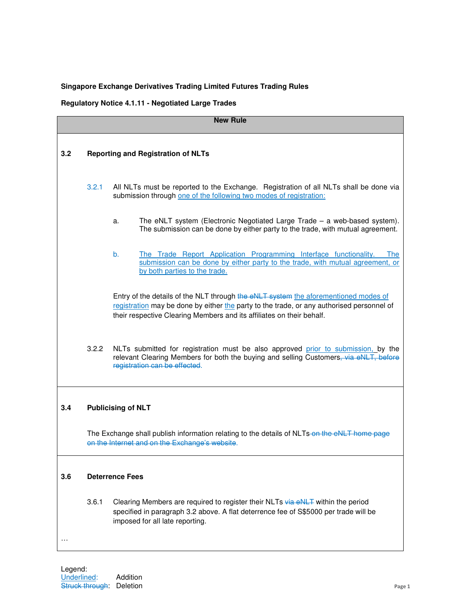## **Singapore Exchange Derivatives Trading Limited Futures Trading Rules**

## **Regulatory Notice 4.1.11 - Negotiated Large Trades**

| <b>New Rule</b> |                                           |                                                                                                                                                                                                                                                           |  |
|-----------------|-------------------------------------------|-----------------------------------------------------------------------------------------------------------------------------------------------------------------------------------------------------------------------------------------------------------|--|
| 3.2             | <b>Reporting and Registration of NLTs</b> |                                                                                                                                                                                                                                                           |  |
|                 | 3.2.1                                     | All NLTs must be reported to the Exchange. Registration of all NLTs shall be done via<br>submission through one of the following two modes of registration:                                                                                               |  |
|                 |                                           | The eNLT system (Electronic Negotiated Large Trade - a web-based system).<br>a.<br>The submission can be done by either party to the trade, with mutual agreement.                                                                                        |  |
|                 |                                           | The Trade Report Application Programming Interface functionality.<br>b.<br><b>The</b><br>submission can be done by either party to the trade, with mutual agreement, or<br>by both parties to the trade.                                                  |  |
|                 |                                           | Entry of the details of the NLT through the eNLT system the aforementioned modes of<br>registration may be done by either the party to the trade, or any authorised personnel of<br>their respective Clearing Members and its affiliates on their behalf. |  |
|                 | 3.2.2                                     | NLTs submitted for registration must be also approved prior to submission, by the<br>relevant Clearing Members for both the buying and selling Customers, via eNLT, before<br>registration can be effected.                                               |  |
| 3.4             |                                           | <b>Publicising of NLT</b>                                                                                                                                                                                                                                 |  |
|                 |                                           | The Exchange shall publish information relating to the details of NLTs-on the eNLT home page<br>on the Internet and on the Exchange's website.                                                                                                            |  |
| 3.6             | <b>Deterrence Fees</b>                    |                                                                                                                                                                                                                                                           |  |
|                 | 3.6.1                                     | Clearing Members are required to register their NLTs via eNLT within the period<br>specified in paragraph 3.2 above. A flat deterrence fee of S\$5000 per trade will be<br>imposed for all late reporting.                                                |  |
|                 |                                           |                                                                                                                                                                                                                                                           |  |